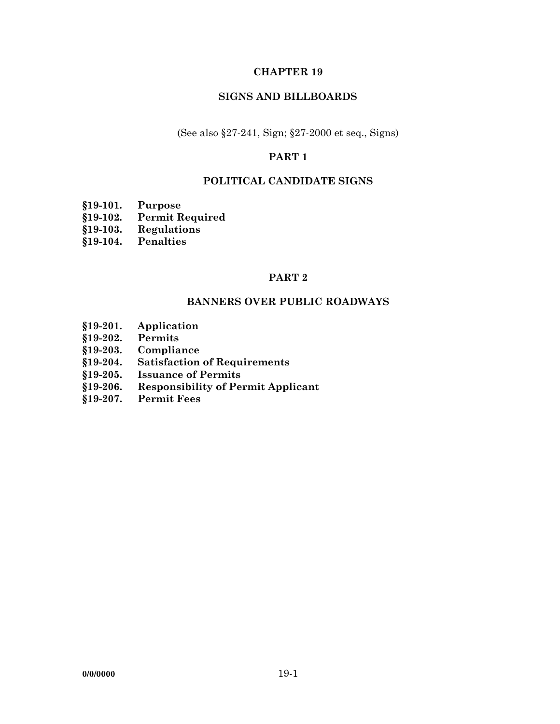## **CHAPTER 19**

## **SIGNS AND BILLBOARDS**

(See also §27-241, Sign; §27-2000 et seq., Signs)

# **PART 1**

## **POLITICAL CANDIDATE SIGNS**

- **§19-101. Purpose**
- **§19-102. Permit Required**
- **§19-103. Regulations**
- **§19-104. Penalties**

## **PART 2**

#### **BANNERS OVER PUBLIC ROADWAYS**

- **§19-201. Application**
- **§19-202. Permits**
- **§19-203. Compliance**
- **§19-204. Satisfaction of Requirements**
- **§19-205. Issuance of Permits**
- **§19-206. Responsibility of Permit Applicant**
- **§19-207. Permit Fees**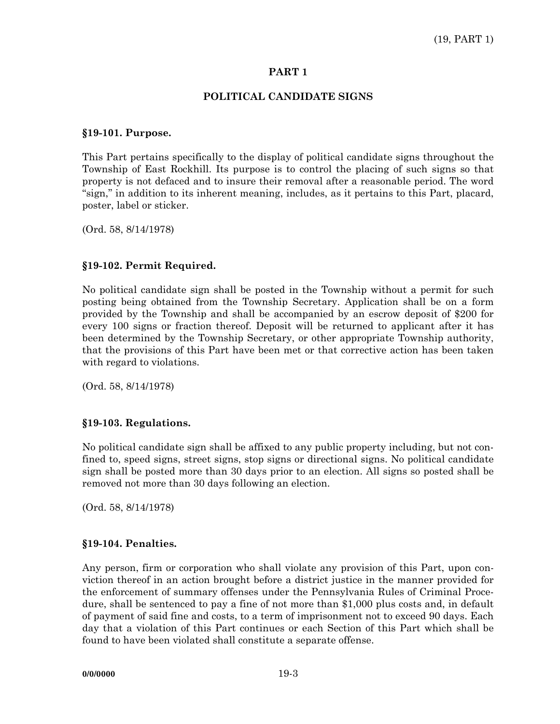### **PART 1**

## **POLITICAL CANDIDATE SIGNS**

#### **§19-101. Purpose.**

This Part pertains specifically to the display of political candidate signs throughout the Township of East Rockhill. Its purpose is to control the placing of such signs so that property is not defaced and to insure their removal after a reasonable period. The word "sign," in addition to its inherent meaning, includes, as it pertains to this Part, placard, poster, label or sticker.

(Ord. 58, 8/14/1978)

## **§19-102. Permit Required.**

No political candidate sign shall be posted in the Township without a permit for such posting being obtained from the Township Secretary. Application shall be on a form provided by the Township and shall be accompanied by an escrow deposit of \$200 for every 100 signs or fraction thereof. Deposit will be returned to applicant after it has been determined by the Township Secretary, or other appropriate Township authority, that the provisions of this Part have been met or that corrective action has been taken with regard to violations.

(Ord. 58, 8/14/1978)

#### **§19-103. Regulations.**

No political candidate sign shall be affixed to any public property including, but not confined to, speed signs, street signs, stop signs or directional signs. No political candidate sign shall be posted more than 30 days prior to an election. All signs so posted shall be removed not more than 30 days following an election.

(Ord. 58, 8/14/1978)

#### **§19-104. Penalties.**

Any person, firm or corporation who shall violate any provision of this Part, upon conviction thereof in an action brought before a district justice in the manner provided for the enforcement of summary offenses under the Pennsylvania Rules of Criminal Procedure, shall be sentenced to pay a fine of not more than \$1,000 plus costs and, in default of payment of said fine and costs, to a term of imprisonment not to exceed 90 days. Each day that a violation of this Part continues or each Section of this Part which shall be found to have been violated shall constitute a separate offense.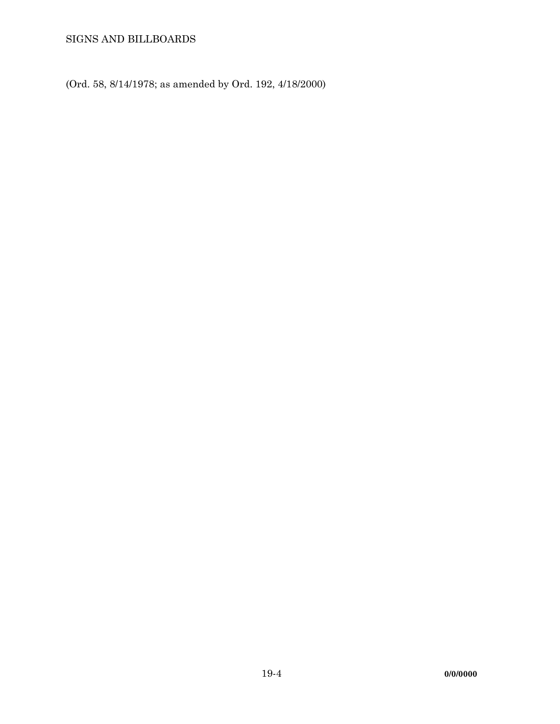SIGNS AND BILLBOARDS

(Ord. 58, 8/14/1978; as amended by Ord. 192, 4/18/2000)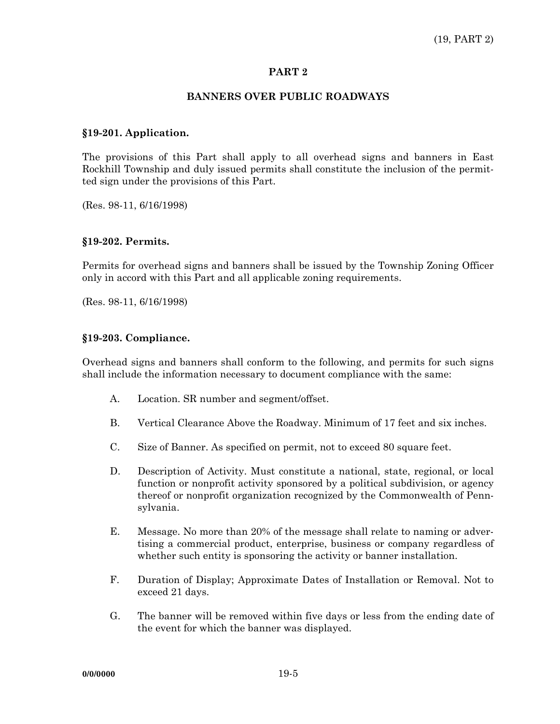### **PART 2**

## **BANNERS OVER PUBLIC ROADWAYS**

### **§19-201. Application.**

The provisions of this Part shall apply to all overhead signs and banners in East Rockhill Township and duly issued permits shall constitute the inclusion of the permitted sign under the provisions of this Part.

(Res. 98-11, 6/16/1998)

#### **§19-202. Permits.**

Permits for overhead signs and banners shall be issued by the Township Zoning Officer only in accord with this Part and all applicable zoning requirements.

(Res. 98-11, 6/16/1998)

#### **§19-203. Compliance.**

Overhead signs and banners shall conform to the following, and permits for such signs shall include the information necessary to document compliance with the same:

- A. Location. SR number and segment/offset.
- B. Vertical Clearance Above the Roadway. Minimum of 17 feet and six inches.
- C. Size of Banner. As specified on permit, not to exceed 80 square feet.
- D. Description of Activity. Must constitute a national, state, regional, or local function or nonprofit activity sponsored by a political subdivision, or agency thereof or nonprofit organization recognized by the Commonwealth of Pennsylvania.
- E. Message. No more than 20% of the message shall relate to naming or advertising a commercial product, enterprise, business or company regardless of whether such entity is sponsoring the activity or banner installation.
- F. Duration of Display; Approximate Dates of Installation or Removal. Not to exceed 21 days.
- G. The banner will be removed within five days or less from the ending date of the event for which the banner was displayed.